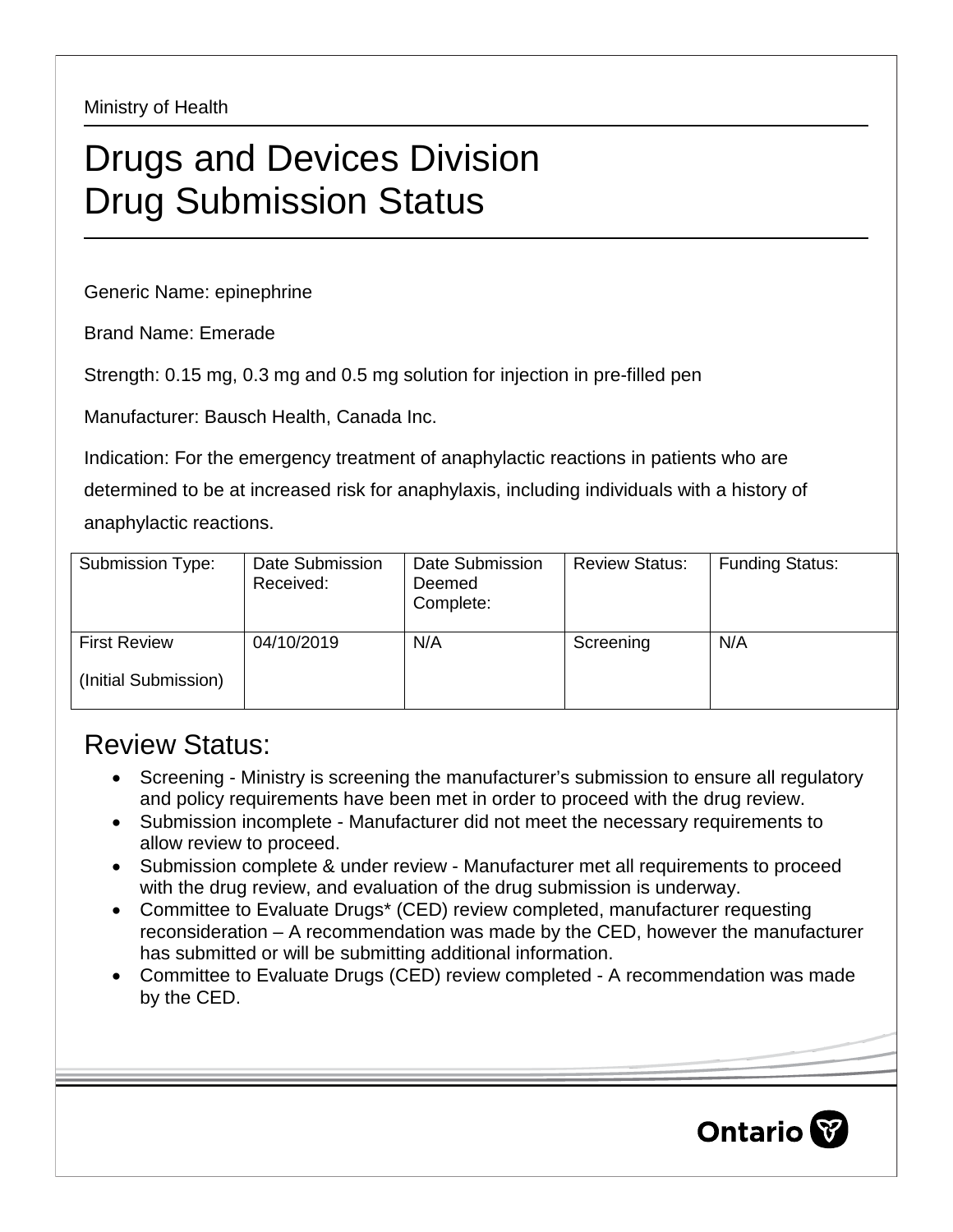Ministry of Health

## Drugs and Devices Division Drug Submission Status

Generic Name: epinephrine

Brand Name: Emerade

Strength: 0.15 mg, 0.3 mg and 0.5 mg solution for injection in pre-filled pen

Manufacturer: Bausch Health, Canada Inc.

Indication: For the emergency treatment of anaphylactic reactions in patients who are determined to be at increased risk for anaphylaxis, including individuals with a history of anaphylactic reactions.

| Submission Type:     | Date Submission<br>Received: | Date Submission<br>Deemed<br>Complete: | <b>Review Status:</b> | <b>Funding Status:</b> |
|----------------------|------------------------------|----------------------------------------|-----------------------|------------------------|
| <b>First Review</b>  | 04/10/2019                   | N/A                                    | Screening             | N/A                    |
| (Initial Submission) |                              |                                        |                       |                        |

## Review Status:

- Screening Ministry is screening the manufacturer's submission to ensure all regulatory and policy requirements have been met in order to proceed with the drug review.
- Submission incomplete Manufacturer did not meet the necessary requirements to allow review to proceed.
- Submission complete & under review Manufacturer met all requirements to proceed with the drug review, and evaluation of the drug submission is underway.
- Committee to Evaluate Drugs\* (CED) review completed, manufacturer requesting reconsideration – A recommendation was made by the CED, however the manufacturer has submitted or will be submitting additional information.
- Committee to Evaluate Drugs (CED) review completed A recommendation was made by the CED.